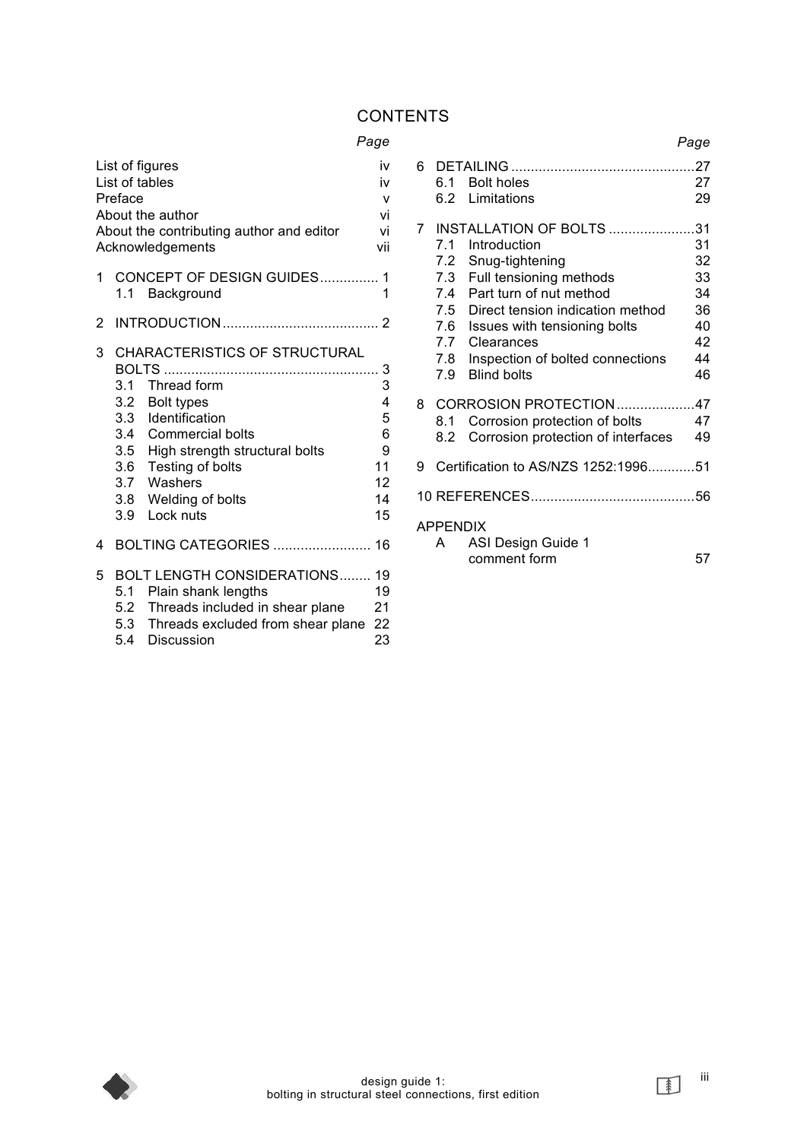# **CONTENTS**

## *Page*

| List of figures<br>List of tables<br>Preface<br>About the author<br>About the contributing author and editor<br>Acknowledgements |     |                                                                                                                                                                                                                                    | iv<br>iv<br>v<br>vi<br>vi<br>vii                   |
|----------------------------------------------------------------------------------------------------------------------------------|-----|------------------------------------------------------------------------------------------------------------------------------------------------------------------------------------------------------------------------------------|----------------------------------------------------|
| 1                                                                                                                                |     | CONCEPT OF DESIGN GUIDES<br>1.1 Background                                                                                                                                                                                         | 1<br>1                                             |
| 2                                                                                                                                |     |                                                                                                                                                                                                                                    |                                                    |
| 3                                                                                                                                | 3.1 | CHARACTERISTICS OF STRUCTURAL<br>Thread form<br>3.2 Bolt types<br>3.3 Identification<br>3.4 Commercial bolts<br>3.5 High strength structural bolts<br>3.6 Testing of bolts<br>3.7 Washers<br>3.8 Welding of bolts<br>3.9 Lock nuts | 3<br>3<br>4<br>5<br>6<br>9<br>11<br>12<br>14<br>15 |
| 4                                                                                                                                |     | <b>BOLTING CATEGORIES  16</b>                                                                                                                                                                                                      |                                                    |
| 5                                                                                                                                |     | <b>BOLT LENGTH CONSIDERATIONS 19</b><br>5.1 Plain shank lengths<br>5.2 Threads included in shear plane<br>5.3 Threads excluded from shear plane<br>5.4 Discussion                                                                  | 19<br>21<br>22<br>23                               |

|                |                                                      |                                                                                                                                                                                                                                                                          | Page                                               |
|----------------|------------------------------------------------------|--------------------------------------------------------------------------------------------------------------------------------------------------------------------------------------------------------------------------------------------------------------------------|----------------------------------------------------|
| 6              | 6.1                                                  | <b>Bolt holes</b><br>6.2 Limitations                                                                                                                                                                                                                                     | 27<br>29                                           |
| $\overline{7}$ | 7.1<br>7.2<br>7.4<br>7.5<br>7.6<br>7.7<br>7.8<br>7.9 | <b>INSTALLATION OF BOLTS 31</b><br>Introduction<br>Snug-tightening<br>7.3 Full tensioning methods<br>Part turn of nut method<br>Direct tension indication method<br>Issues with tensioning bolts<br>Clearances<br>Inspection of bolted connections<br><b>Blind bolts</b> | 31<br>32<br>33<br>34<br>36<br>40<br>42<br>44<br>46 |
| 8<br>9         | 8.1<br>8.2                                           | CORROSION PROTECTION47<br>Corrosion protection of bolts<br>Corrosion protection of interfaces<br>Certification to AS/NZS 1252:199651                                                                                                                                     | 47<br>49                                           |
|                |                                                      |                                                                                                                                                                                                                                                                          |                                                    |
|                | <b>APPENDIX</b><br>A                                 | ASI Design Guide 1<br>comment form                                                                                                                                                                                                                                       | 57                                                 |



 $\sqrt{2}$